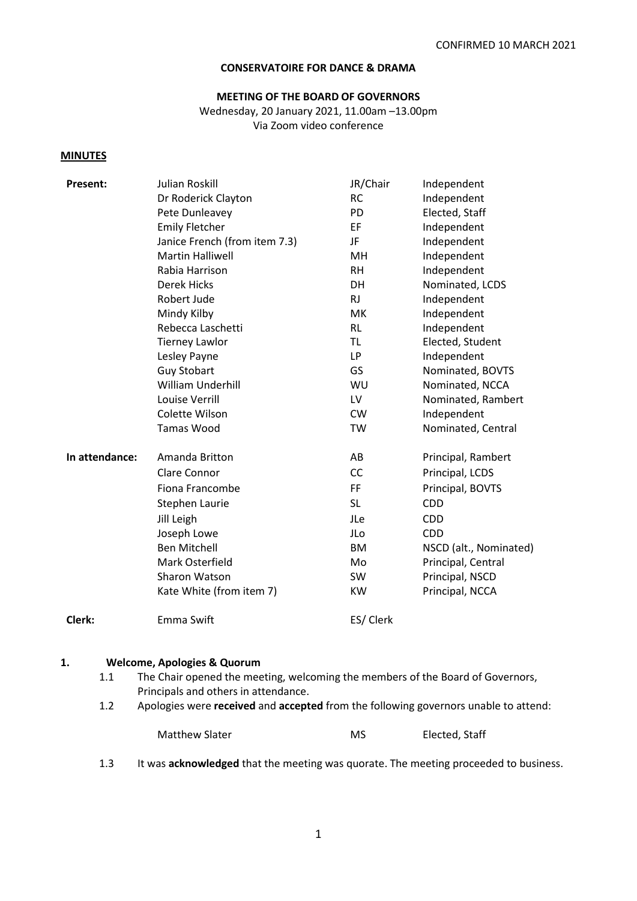## **CONSERVATOIRE FOR DANCE & DRAMA**

# **MEETING OF THE BOARD OF GOVERNORS**

Wednesday, 20 January 2021, 11.00am –13.00pm Via Zoom video conference

#### **MINUTES**

| Present:       | Julian Roskill                | JR/Chair  | Independent            |
|----------------|-------------------------------|-----------|------------------------|
|                | Dr Roderick Clayton           | <b>RC</b> | Independent            |
|                | Pete Dunleavey                | PD        | Elected, Staff         |
|                | <b>Emily Fletcher</b>         | EF        | Independent            |
|                | Janice French (from item 7.3) | JF        | Independent            |
|                | <b>Martin Halliwell</b>       | MH.       | Independent            |
|                | Rabia Harrison                | <b>RH</b> | Independent            |
|                | Derek Hicks                   | DH        | Nominated, LCDS        |
|                | Robert Jude                   | <b>RJ</b> | Independent            |
|                | Mindy Kilby                   | МK        | Independent            |
|                | Rebecca Laschetti             | RL        | Independent            |
|                | <b>Tierney Lawlor</b>         | <b>TL</b> | Elected, Student       |
|                | Lesley Payne                  | LP        | Independent            |
|                | <b>Guy Stobart</b>            | GS        | Nominated, BOVTS       |
|                | William Underhill             | WU        | Nominated, NCCA        |
|                | Louise Verrill                | LV        | Nominated, Rambert     |
|                | Colette Wilson                | <b>CW</b> | Independent            |
|                | <b>Tamas Wood</b>             | <b>TW</b> | Nominated, Central     |
| In attendance: | Amanda Britton                | AB        | Principal, Rambert     |
|                | Clare Connor                  | <b>CC</b> | Principal, LCDS        |
|                | Fiona Francombe               | FF.       | Principal, BOVTS       |
|                | Stephen Laurie                | <b>SL</b> | <b>CDD</b>             |
|                | Jill Leigh                    | JLe       | <b>CDD</b>             |
|                | Joseph Lowe                   | JLo       | <b>CDD</b>             |
|                | <b>Ben Mitchell</b>           | <b>BM</b> | NSCD (alt., Nominated) |
|                | Mark Osterfield               | Mo        | Principal, Central     |
|                | Sharon Watson                 | <b>SW</b> | Principal, NSCD        |
|                | Kate White (from item 7)      | <b>KW</b> | Principal, NCCA        |
| Clerk:         | Emma Swift                    | ES/ Clerk |                        |

#### **1. Welcome, Apologies & Quorum**

- 1.1 The Chair opened the meeting, welcoming the members of the Board of Governors, Principals and others in attendance.
- 1.2 Apologies were **received** and **accepted** from the following governors unable to attend:

| Matthew Slater | <b>MS</b> | Elected, Staff |
|----------------|-----------|----------------|
|----------------|-----------|----------------|

1.3 It was **acknowledged** that the meeting was quorate. The meeting proceeded to business.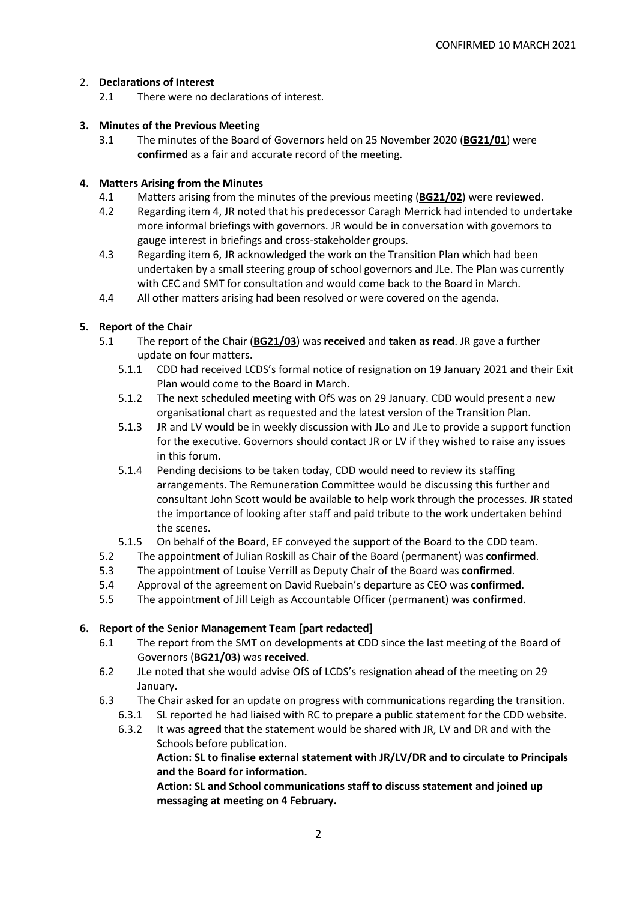### 2. **Declarations of Interest**

2.1 There were no declarations of interest.

#### **3. Minutes of the Previous Meeting**

3.1 The minutes of the Board of Governors held on 25 November 2020 (**BG21/01**) were **confirmed** as a fair and accurate record of the meeting.

#### **4. Matters Arising from the Minutes**

- 4.1 Matters arising from the minutes of the previous meeting (**BG21/02**) were **reviewed**.
- 4.2 Regarding item 4, JR noted that his predecessor Caragh Merrick had intended to undertake more informal briefings with governors. JR would be in conversation with governors to gauge interest in briefings and cross-stakeholder groups.
- 4.3 Regarding item 6, JR acknowledged the work on the Transition Plan which had been undertaken by a small steering group of school governors and JLe. The Plan was currently with CEC and SMT for consultation and would come back to the Board in March.
- 4.4 All other matters arising had been resolved or were covered on the agenda.

## **5. Report of the Chair**

- 5.1 The report of the Chair (**BG21/03**) was **received** and **taken as read**. JR gave a further update on four matters.
	- 5.1.1 CDD had received LCDS's formal notice of resignation on 19 January 2021 and their Exit Plan would come to the Board in March.
	- 5.1.2 The next scheduled meeting with OfS was on 29 January. CDD would present a new organisational chart as requested and the latest version of the Transition Plan.
	- 5.1.3 JR and LV would be in weekly discussion with JLo and JLe to provide a support function for the executive. Governors should contact JR or LV if they wished to raise any issues in this forum.
	- 5.1.4 Pending decisions to be taken today, CDD would need to review its staffing arrangements. The Remuneration Committee would be discussing this further and consultant John Scott would be available to help work through the processes. JR stated the importance of looking after staff and paid tribute to the work undertaken behind the scenes.
	- 5.1.5 On behalf of the Board, EF conveyed the support of the Board to the CDD team.
- 5.2 The appointment of Julian Roskill as Chair of the Board (permanent) was **confirmed**.
- 5.3 The appointment of Louise Verrill as Deputy Chair of the Board was **confirmed**.
- 5.4 Approval of the agreement on David Ruebain's departure as CEO was **confirmed**.
- 5.5 The appointment of Jill Leigh as Accountable Officer (permanent) was **confirmed**.

#### **6. Report of the Senior Management Team [part redacted]**

- 6.1 The report from the SMT on developments at CDD since the last meeting of the Board of Governors (**BG21/03**) was **received**.
- 6.2 JLe noted that she would advise OfS of LCDS's resignation ahead of the meeting on 29 January.
- 6.3 The Chair asked for an update on progress with communications regarding the transition.
	- 6.3.1 SL reported he had liaised with RC to prepare a public statement for the CDD website.
	- 6.3.2 It was **agreed** that the statement would be shared with JR, LV and DR and with the Schools before publication.

**Action: SL to finalise external statement with JR/LV/DR and to circulate to Principals and the Board for information.**

**Action: SL and School communications staff to discuss statement and joined up messaging at meeting on 4 February.**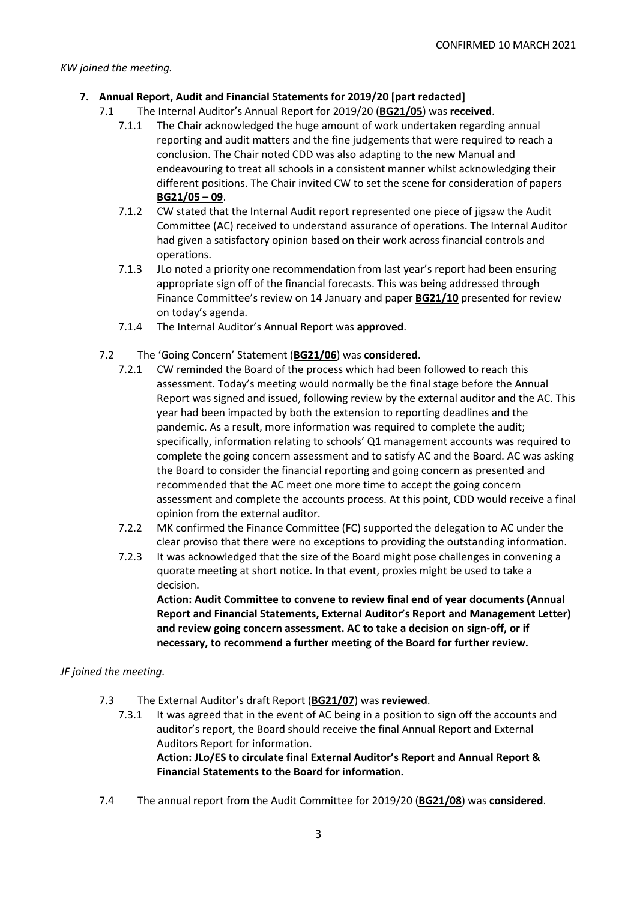#### *KW joined the meeting.*

### **7. Annual Report, Audit and Financial Statements for 2019/20 [part redacted]**

- 7.1 The Internal Auditor's Annual Report for 2019/20 (**BG21/05**) was **received**.
	- 7.1.1 The Chair acknowledged the huge amount of work undertaken regarding annual reporting and audit matters and the fine judgements that were required to reach a conclusion. The Chair noted CDD was also adapting to the new Manual and endeavouring to treat all schools in a consistent manner whilst acknowledging their different positions. The Chair invited CW to set the scene for consideration of papers **BG21/05 – 09**.
	- 7.1.2 CW stated that the Internal Audit report represented one piece of jigsaw the Audit Committee (AC) received to understand assurance of operations. The Internal Auditor had given a satisfactory opinion based on their work across financial controls and operations.
	- 7.1.3 JLo noted a priority one recommendation from last year's report had been ensuring appropriate sign off of the financial forecasts. This was being addressed through Finance Committee's review on 14 January and paper **BG21/10** presented for review on today's agenda.
	- 7.1.4 The Internal Auditor's Annual Report was **approved**.
- 7.2 The 'Going Concern' Statement (**BG21/06**) was **considered**.
	- 7.2.1 CW reminded the Board of the process which had been followed to reach this assessment. Today's meeting would normally be the final stage before the Annual Report was signed and issued, following review by the external auditor and the AC. This year had been impacted by both the extension to reporting deadlines and the pandemic. As a result, more information was required to complete the audit; specifically, information relating to schools' Q1 management accounts was required to complete the going concern assessment and to satisfy AC and the Board. AC was asking the Board to consider the financial reporting and going concern as presented and recommended that the AC meet one more time to accept the going concern assessment and complete the accounts process. At this point, CDD would receive a final opinion from the external auditor.
	- 7.2.2 MK confirmed the Finance Committee (FC) supported the delegation to AC under the clear proviso that there were no exceptions to providing the outstanding information.
	- 7.2.3 It was acknowledged that the size of the Board might pose challenges in convening a quorate meeting at short notice. In that event, proxies might be used to take a decision.

**Action: Audit Committee to convene to review final end of year documents (Annual Report and Financial Statements, External Auditor's Report and Management Letter) and review going concern assessment. AC to take a decision on sign-off, or if necessary, to recommend a further meeting of the Board for further review.**

#### *JF joined the meeting.*

- 7.3 The External Auditor's draft Report (**BG21/07**) was **reviewed**.
	- 7.3.1 It was agreed that in the event of AC being in a position to sign off the accounts and auditor's report, the Board should receive the final Annual Report and External Auditors Report for information. **Action: JLo/ES to circulate final External Auditor's Report and Annual Report & Financial Statements to the Board for information.**
- 7.4 The annual report from the Audit Committee for 2019/20 (**BG21/08**) was **considered**.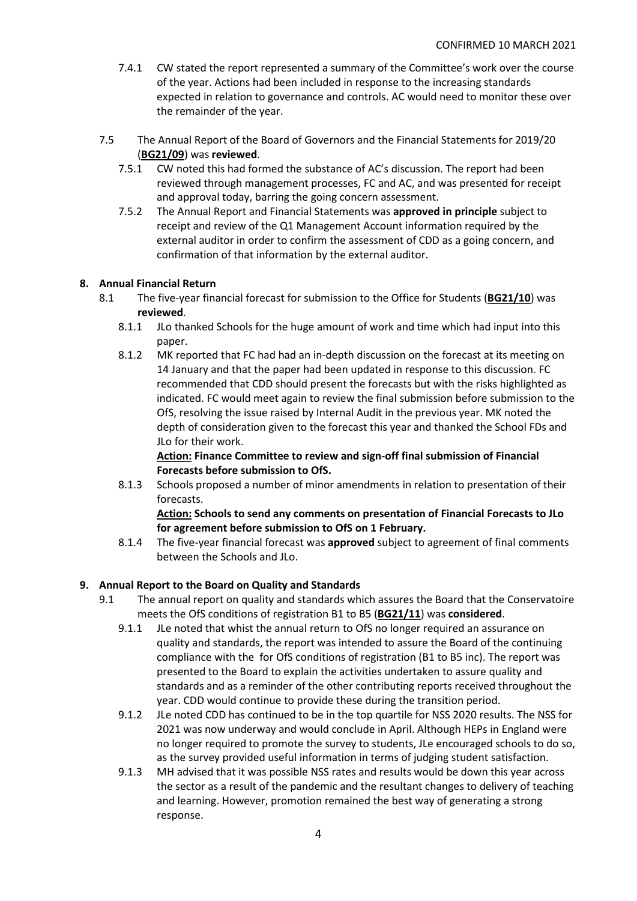- 7.4.1 CW stated the report represented a summary of the Committee's work over the course of the year. Actions had been included in response to the increasing standards expected in relation to governance and controls. AC would need to monitor these over the remainder of the year.
- 7.5 The Annual Report of the Board of Governors and the Financial Statements for 2019/20 (**BG21/09**) was **reviewed**.
	- 7.5.1 CW noted this had formed the substance of AC's discussion. The report had been reviewed through management processes, FC and AC, and was presented for receipt and approval today, barring the going concern assessment.
	- 7.5.2 The Annual Report and Financial Statements was **approved in principle** subject to receipt and review of the Q1 Management Account information required by the external auditor in order to confirm the assessment of CDD as a going concern, and confirmation of that information by the external auditor.

## **8. Annual Financial Return**

- 8.1 The five-year financial forecast for submission to the Office for Students (**BG21/10**) was **reviewed**.
	- 8.1.1 JLo thanked Schools for the huge amount of work and time which had input into this paper.
	- 8.1.2 MK reported that FC had had an in-depth discussion on the forecast at its meeting on 14 January and that the paper had been updated in response to this discussion. FC recommended that CDD should present the forecasts but with the risks highlighted as indicated. FC would meet again to review the final submission before submission to the OfS, resolving the issue raised by Internal Audit in the previous year. MK noted the depth of consideration given to the forecast this year and thanked the School FDs and JLo for their work.

## **Action: Finance Committee to review and sign-off final submission of Financial Forecasts before submission to OfS.**

8.1.3 Schools proposed a number of minor amendments in relation to presentation of their forecasts.

### **Action: Schools to send any comments on presentation of Financial Forecasts to JLo for agreement before submission to OfS on 1 February.**

8.1.4 The five-year financial forecast was **approved** subject to agreement of final comments between the Schools and JLo.

## **9. Annual Report to the Board on Quality and Standards**

- 9.1 The annual report on quality and standards which assures the Board that the Conservatoire meets the OfS conditions of registration B1 to B5 (**BG21/11**) was **considered**.
	- 9.1.1 JLe noted that whist the annual return to OfS no longer required an assurance on quality and standards, the report was intended to assure the Board of the continuing compliance with the for OfS conditions of registration (B1 to B5 inc). The report was presented to the Board to explain the activities undertaken to assure quality and standards and as a reminder of the other contributing reports received throughout the year. CDD would continue to provide these during the transition period.
	- 9.1.2 JLe noted CDD has continued to be in the top quartile for NSS 2020 results. The NSS for 2021 was now underway and would conclude in April. Although HEPs in England were no longer required to promote the survey to students, JLe encouraged schools to do so, as the survey provided useful information in terms of judging student satisfaction.
	- 9.1.3 MH advised that it was possible NSS rates and results would be down this year across the sector as a result of the pandemic and the resultant changes to delivery of teaching and learning. However, promotion remained the best way of generating a strong response.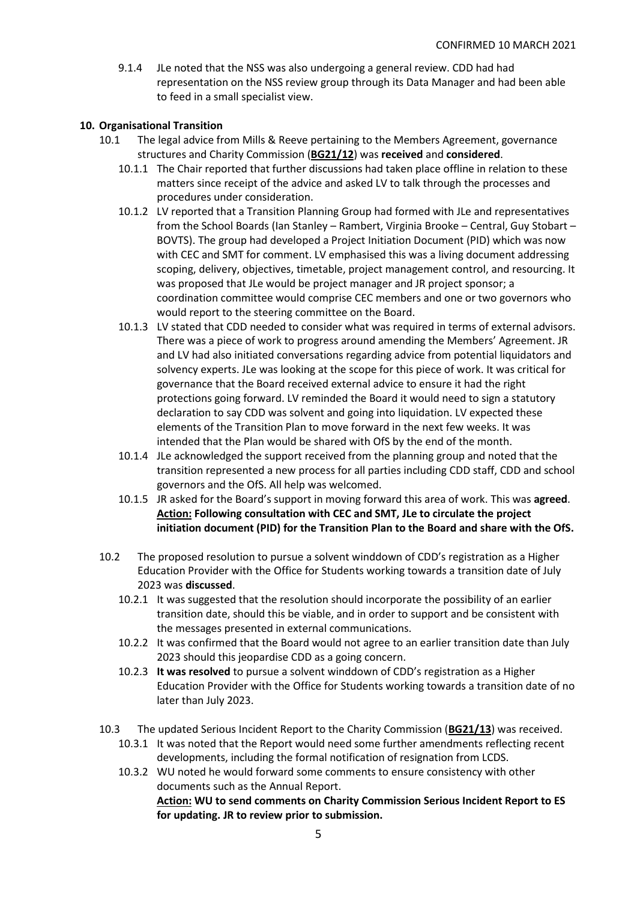9.1.4 JLe noted that the NSS was also undergoing a general review. CDD had had representation on the NSS review group through its Data Manager and had been able to feed in a small specialist view.

### **10. Organisational Transition**

- 10.1 The legal advice from Mills & Reeve pertaining to the Members Agreement, governance structures and Charity Commission (**BG21/12**) was **received** and **considered**.
	- 10.1.1 The Chair reported that further discussions had taken place offline in relation to these matters since receipt of the advice and asked LV to talk through the processes and procedures under consideration.
	- 10.1.2 LV reported that a Transition Planning Group had formed with JLe and representatives from the School Boards (Ian Stanley – Rambert, Virginia Brooke – Central, Guy Stobart – BOVTS). The group had developed a Project Initiation Document (PID) which was now with CEC and SMT for comment. LV emphasised this was a living document addressing scoping, delivery, objectives, timetable, project management control, and resourcing. It was proposed that JLe would be project manager and JR project sponsor; a coordination committee would comprise CEC members and one or two governors who would report to the steering committee on the Board.
	- 10.1.3 LV stated that CDD needed to consider what was required in terms of external advisors. There was a piece of work to progress around amending the Members' Agreement. JR and LV had also initiated conversations regarding advice from potential liquidators and solvency experts. JLe was looking at the scope for this piece of work. It was critical for governance that the Board received external advice to ensure it had the right protections going forward. LV reminded the Board it would need to sign a statutory declaration to say CDD was solvent and going into liquidation. LV expected these elements of the Transition Plan to move forward in the next few weeks. It was intended that the Plan would be shared with OfS by the end of the month.
	- 10.1.4 JLe acknowledged the support received from the planning group and noted that the transition represented a new process for all parties including CDD staff, CDD and school governors and the OfS. All help was welcomed.
	- 10.1.5 JR asked for the Board's support in moving forward this area of work. This was **agreed**. **Action: Following consultation with CEC and SMT, JLe to circulate the project initiation document (PID) for the Transition Plan to the Board and share with the OfS.**
- 10.2 The proposed resolution to pursue a solvent winddown of CDD's registration as a Higher Education Provider with the Office for Students working towards a transition date of July 2023 was **discussed**.
	- 10.2.1 It was suggested that the resolution should incorporate the possibility of an earlier transition date, should this be viable, and in order to support and be consistent with the messages presented in external communications.
	- 10.2.2 It was confirmed that the Board would not agree to an earlier transition date than July 2023 should this jeopardise CDD as a going concern.
	- 10.2.3 **It was resolved** to pursue a solvent winddown of CDD's registration as a Higher Education Provider with the Office for Students working towards a transition date of no later than July 2023.
- 10.3 The updated Serious Incident Report to the Charity Commission (**BG21/13**) was received.
	- 10.3.1 It was noted that the Report would need some further amendments reflecting recent developments, including the formal notification of resignation from LCDS.
	- 10.3.2 WU noted he would forward some comments to ensure consistency with other documents such as the Annual Report. **Action: WU to send comments on Charity Commission Serious Incident Report to ES for updating. JR to review prior to submission.**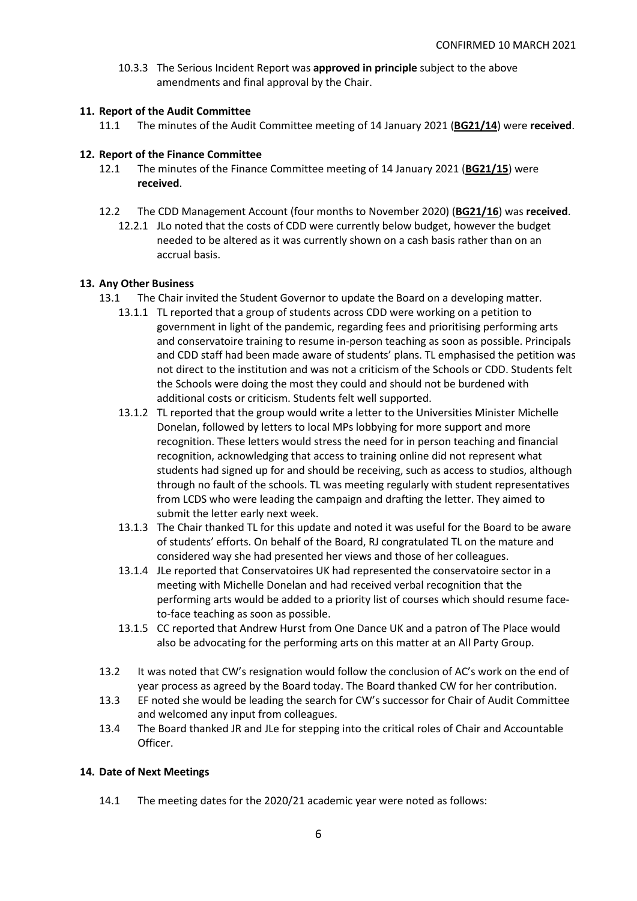10.3.3 The Serious Incident Report was **approved in principle** subject to the above amendments and final approval by the Chair.

### **11. Report of the Audit Committee**

11.1 The minutes of the Audit Committee meeting of 14 January 2021 (**BG21/14**) were **received**.

## **12. Report of the Finance Committee**

- 12.1 The minutes of the Finance Committee meeting of 14 January 2021 (**BG21/15**) were **received**.
- 12.2 The CDD Management Account (four months to November 2020) (**BG21/16**) was **received**.
	- 12.2.1 JLo noted that the costs of CDD were currently below budget, however the budget needed to be altered as it was currently shown on a cash basis rather than on an accrual basis.

### **13. Any Other Business**

- 13.1 The Chair invited the Student Governor to update the Board on a developing matter.
	- 13.1.1 TL reported that a group of students across CDD were working on a petition to government in light of the pandemic, regarding fees and prioritising performing arts and conservatoire training to resume in-person teaching as soon as possible. Principals and CDD staff had been made aware of students' plans. TL emphasised the petition was not direct to the institution and was not a criticism of the Schools or CDD. Students felt the Schools were doing the most they could and should not be burdened with additional costs or criticism. Students felt well supported.
	- 13.1.2 TL reported that the group would write a letter to the Universities Minister Michelle Donelan, followed by letters to local MPs lobbying for more support and more recognition. These letters would stress the need for in person teaching and financial recognition, acknowledging that access to training online did not represent what students had signed up for and should be receiving, such as access to studios, although through no fault of the schools. TL was meeting regularly with student representatives from LCDS who were leading the campaign and drafting the letter. They aimed to submit the letter early next week.
	- 13.1.3 The Chair thanked TL for this update and noted it was useful for the Board to be aware of students' efforts. On behalf of the Board, RJ congratulated TL on the mature and considered way she had presented her views and those of her colleagues.
	- 13.1.4 JLe reported that Conservatoires UK had represented the conservatoire sector in a meeting with Michelle Donelan and had received verbal recognition that the performing arts would be added to a priority list of courses which should resume faceto-face teaching as soon as possible.
	- 13.1.5 CC reported that Andrew Hurst from One Dance UK and a patron of The Place would also be advocating for the performing arts on this matter at an All Party Group.
- 13.2 It was noted that CW's resignation would follow the conclusion of AC's work on the end of year process as agreed by the Board today. The Board thanked CW for her contribution.
- 13.3 EF noted she would be leading the search for CW's successor for Chair of Audit Committee and welcomed any input from colleagues.
- 13.4 The Board thanked JR and JLe for stepping into the critical roles of Chair and Accountable Officer.

#### **14. Date of Next Meetings**

14.1 The meeting dates for the 2020/21 academic year were noted as follows: